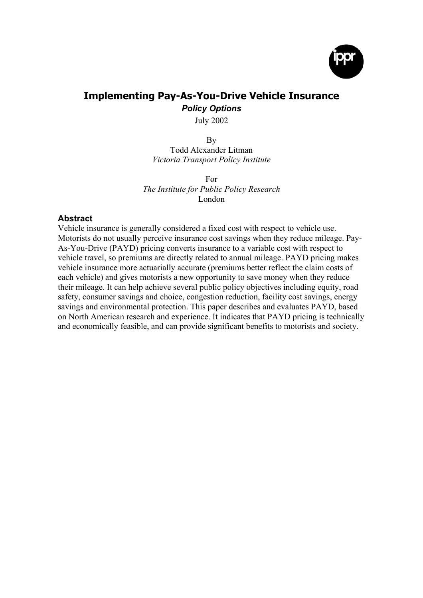

# **Implementing Pay-As-You-Drive Vehicle Insurance** *Policy Options*

July 2002

By Todd Alexander Litman *Victoria Transport Policy Institute*

For *The Institute for Public Policy Research* London

## **Abstract**

Vehicle insurance is generally considered a fixed cost with respect to vehicle use. Motorists do not usually perceive insurance cost savings when they reduce mileage. Pay-As-You-Drive (PAYD) pricing converts insurance to a variable cost with respect to vehicle travel, so premiums are directly related to annual mileage. PAYD pricing makes vehicle insurance more actuarially accurate (premiums better reflect the claim costs of each vehicle) and gives motorists a new opportunity to save money when they reduce their mileage. It can help achieve several public policy objectives including equity, road safety, consumer savings and choice, congestion reduction, facility cost savings, energy savings and environmental protection. This paper describes and evaluates PAYD, based on North American research and experience. It indicates that PAYD pricing is technically and economically feasible, and can provide significant benefits to motorists and society.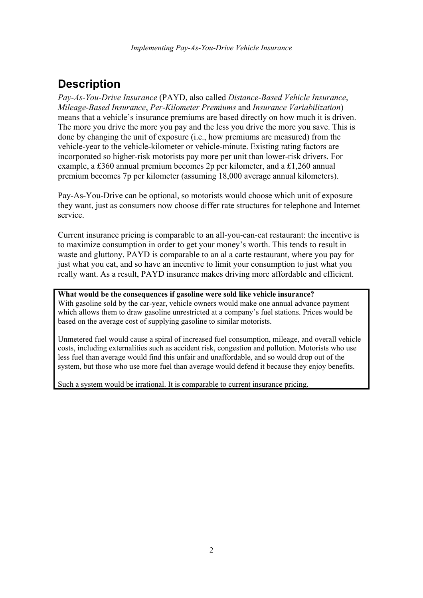# **Description**

*Pay-As-You-Drive Insurance* (PAYD, also called *Distance-Based Vehicle Insurance*, *Mileage-Based Insurance*, *Per-Kilometer Premiums* and *Insurance Variabilization*) means that a vehicle's insurance premiums are based directly on how much it is driven. The more you drive the more you pay and the less you drive the more you save. This is done by changing the unit of exposure (i.e., how premiums are measured) from the vehicle-year to the vehicle-kilometer or vehicle-minute. Existing rating factors are incorporated so higher-risk motorists pay more per unit than lower-risk drivers. For example, a £360 annual premium becomes 2p per kilometer, and a £1,260 annual premium becomes 7p per kilometer (assuming 18,000 average annual kilometers).

Pay-As-You-Drive can be optional, so motorists would choose which unit of exposure they want, just as consumers now choose differ rate structures for telephone and Internet service.

Current insurance pricing is comparable to an all-you-can-eat restaurant: the incentive is to maximize consumption in order to get your money's worth. This tends to result in waste and gluttony. PAYD is comparable to an al a carte restaurant, where you pay for just what you eat, and so have an incentive to limit your consumption to just what you really want. As a result, PAYD insurance makes driving more affordable and efficient.

**What would be the consequences if gasoline were sold like vehicle insurance?** With gasoline sold by the car-year, vehicle owners would make one annual advance payment which allows them to draw gasoline unrestricted at a company's fuel stations. Prices would be based on the average cost of supplying gasoline to similar motorists.

Unmetered fuel would cause a spiral of increased fuel consumption, mileage, and overall vehicle costs, including externalities such as accident risk, congestion and pollution. Motorists who use less fuel than average would find this unfair and unaffordable, and so would drop out of the system, but those who use more fuel than average would defend it because they enjoy benefits.

Such a system would be irrational. It is comparable to current insurance pricing.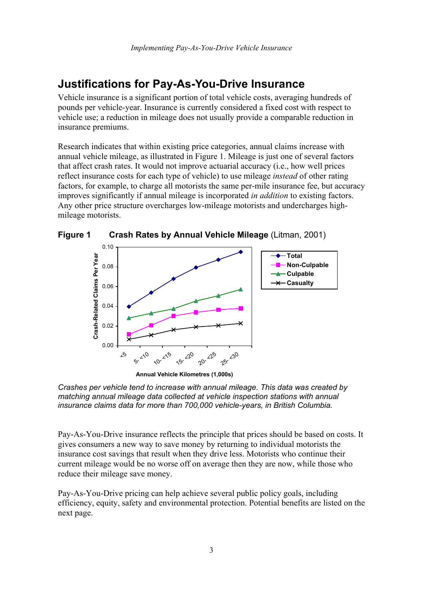# **Justifications for Pay-As-You-Drive Insurance**

Vehicle insurance is a significant portion of total vehicle costs, averaging hundreds of pounds per vehicle-year. Insurance is currently considered a fixed cost with respect to vehicle use; a reduction in mileage does not usually provide a comparable reduction in insurance premiums.

Research indicates that within existing price categories, annual claims increase with annual vehicle mileage, as illustrated in Figure 1. Mileage is just one of several factors that affect crash rates. It would not improve actuarial accuracy (i.e., how well prices reflect insurance costs for each type of vehicle) to use mileage *instead* of other rating factors, for example, to charge all motorists the same per-mile insurance fee, but accuracy improves significantly if annual mileage is incorporated *in addition* to existing factors. Any other price structure overcharges low-mileage motorists and undercharges highmileage motorists.



**Figure 1 Crash Rates by Annual Vehicle Mileage** (Litman, 2001)

**Annual Vehicle Kilometres (1,000s)**



Pay-As-You-Drive insurance reflects the principle that prices should be based on costs. It gives consumers a new way to save money by returning to individual motorists the insurance cost savings that result when they drive less. Motorists who continue their current mileage would be no worse off on average then they are now, while those who reduce their mileage save money.

Pay-As-You-Drive pricing can help achieve several public policy goals, including efficiency, equity, safety and environmental protection. Potential benefits are listed on the next page.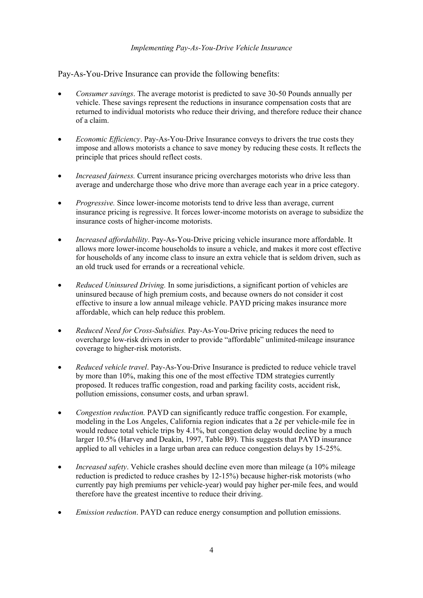## *Implementing Pay-As-You-Drive Vehicle Insurance*

Pay-As-You-Drive Insurance can provide the following benefits:

- *Consumer savings*. The average motorist is predicted to save 30-50 Pounds annually per vehicle. These savings represent the reductions in insurance compensation costs that are returned to individual motorists who reduce their driving, and therefore reduce their chance of a claim.
- *Economic Efficiency*. Pay-As-You-Drive Insurance conveys to drivers the true costs they impose and allows motorists a chance to save money by reducing these costs. It reflects the principle that prices should reflect costs.
- *Increased fairness.* Current insurance pricing overcharges motorists who drive less than average and undercharge those who drive more than average each year in a price category.
- *Progressive.* Since lower-income motorists tend to drive less than average, current insurance pricing is regressive. It forces lower-income motorists on average to subsidize the insurance costs of higher-income motorists.
- *Increased affordability*. Pay-As-You-Drive pricing vehicle insurance more affordable. It allows more lower-income households to insure a vehicle, and makes it more cost effective for households of any income class to insure an extra vehicle that is seldom driven, such as an old truck used for errands or a recreational vehicle.
- *Reduced Uninsured Driving.* In some jurisdictions, a significant portion of vehicles are uninsured because of high premium costs, and because owners do not consider it cost effective to insure a low annual mileage vehicle. PAYD pricing makes insurance more affordable, which can help reduce this problem.
- *Reduced Need for Cross-Subsidies.* Pay-As-You-Drive pricing reduces the need to overcharge low-risk drivers in order to provide "affordable" unlimited-mileage insurance coverage to higher-risk motorists.
- *Reduced vehicle travel*. Pay-As-You-Drive Insurance is predicted to reduce vehicle travel by more than 10%, making this one of the most effective TDM strategies currently proposed. It reduces traffic congestion, road and parking facility costs, accident risk, pollution emissions, consumer costs, and urban sprawl.
- *Congestion reduction.* PAYD can significantly reduce traffic congestion. For example, modeling in the Los Angeles, California region indicates that a  $2¢$  per vehicle-mile fee in would reduce total vehicle trips by 4.1%, but congestion delay would decline by a much larger 10.5% (Harvey and Deakin, 1997, Table B9). This suggests that PAYD insurance applied to all vehicles in a large urban area can reduce congestion delays by 15-25%.
- *Increased safety*. Vehicle crashes should decline even more than mileage (a 10% mileage reduction is predicted to reduce crashes by 12-15%) because higher-risk motorists (who currently pay high premiums per vehicle-year) would pay higher per-mile fees, and would therefore have the greatest incentive to reduce their driving.
- *Emission reduction*. PAYD can reduce energy consumption and pollution emissions.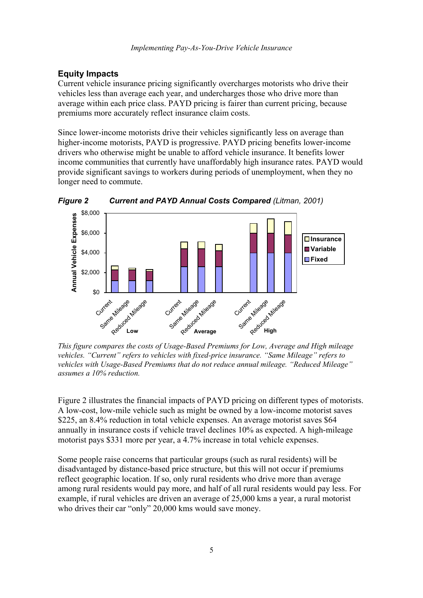## **Equity Impacts**

Current vehicle insurance pricing significantly overcharges motorists who drive their vehicles less than average each year, and undercharges those who drive more than average within each price class. PAYD pricing is fairer than current pricing, because premiums more accurately reflect insurance claim costs.

Since lower-income motorists drive their vehicles significantly less on average than higher-income motorists, PAYD is progressive. PAYD pricing benefits lower-income drivers who otherwise might be unable to afford vehicle insurance. It benefits lower income communities that currently have unaffordably high insurance rates. PAYD would provide significant savings to workers during periods of unemployment, when they no longer need to commute.



*Figure 2 Current and PAYD Annual Costs Compared (Litman, 2001)*

*This figure compares the costs of Usage-Based Premiums for Low, Average and High mileage vehicles. "Current" refers to vehicles with fixed-price insurance. "Same Mileage" refers to vehicles with Usage-Based Premiums that do not reduce annual mileage. "Reduced Mileage" assumes a 10% reduction.*

Figure 2 illustrates the financial impacts of PAYD pricing on different types of motorists. A low-cost, low-mile vehicle such as might be owned by a low-income motorist saves \$225, an 8.4% reduction in total vehicle expenses. An average motorist saves \$64 annually in insurance costs if vehicle travel declines 10% as expected. A high-mileage motorist pays \$331 more per year, a 4.7% increase in total vehicle expenses.

Some people raise concerns that particular groups (such as rural residents) will be disadvantaged by distance-based price structure, but this will not occur if premiums reflect geographic location. If so, only rural residents who drive more than average among rural residents would pay more, and half of all rural residents would pay less. For example, if rural vehicles are driven an average of 25,000 kms a year, a rural motorist who drives their car "only" 20,000 kms would save money.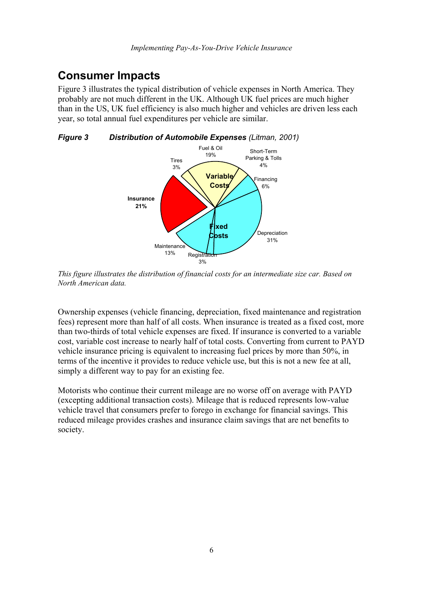# **Consumer Impacts**

Figure 3 illustrates the typical distribution of vehicle expenses in North America. They probably are not much different in the UK. Although UK fuel prices are much higher than in the US, UK fuel efficiency is also much higher and vehicles are driven less each year, so total annual fuel expenditures per vehicle are similar.

*Figure 3 Distribution of Automobile Expenses (Litman, 2001)*



*This figure illustrates the distribution of financial costs for an intermediate size car. Based on North American data.*

Ownership expenses (vehicle financing, depreciation, fixed maintenance and registration fees) represent more than half of all costs. When insurance is treated as a fixed cost, more than two-thirds of total vehicle expenses are fixed. If insurance is converted to a variable cost, variable cost increase to nearly half of total costs. Converting from current to PAYD vehicle insurance pricing is equivalent to increasing fuel prices by more than 50%, in terms of the incentive it provides to reduce vehicle use, but this is not a new fee at all, simply a different way to pay for an existing fee.

Motorists who continue their current mileage are no worse off on average with PAYD (excepting additional transaction costs). Mileage that is reduced represents low-value vehicle travel that consumers prefer to forego in exchange for financial savings. This reduced mileage provides crashes and insurance claim savings that are net benefits to society.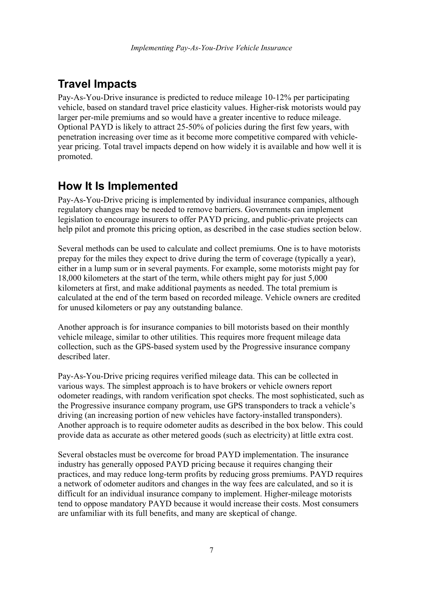# **Travel Impacts**

Pay-As-You-Drive insurance is predicted to reduce mileage 10-12% per participating vehicle, based on standard travel price elasticity values. Higher-risk motorists would pay larger per-mile premiums and so would have a greater incentive to reduce mileage. Optional PAYD is likely to attract 25-50% of policies during the first few years, with penetration increasing over time as it become more competitive compared with vehicleyear pricing. Total travel impacts depend on how widely it is available and how well it is promoted.

# **How It Is Implemented**

Pay-As-You-Drive pricing is implemented by individual insurance companies, although regulatory changes may be needed to remove barriers. Governments can implement legislation to encourage insurers to offer PAYD pricing, and public-private projects can help pilot and promote this pricing option, as described in the case studies section below.

Several methods can be used to calculate and collect premiums. One is to have motorists prepay for the miles they expect to drive during the term of coverage (typically a year), either in a lump sum or in several payments. For example, some motorists might pay for 18,000 kilometers at the start of the term, while others might pay for just 5,000 kilometers at first, and make additional payments as needed. The total premium is calculated at the end of the term based on recorded mileage. Vehicle owners are credited for unused kilometers or pay any outstanding balance.

Another approach is for insurance companies to bill motorists based on their monthly vehicle mileage, similar to other utilities. This requires more frequent mileage data collection, such as the GPS-based system used by the Progressive insurance company described later.

Pay-As-You-Drive pricing requires verified mileage data. This can be collected in various ways. The simplest approach is to have brokers or vehicle owners report odometer readings, with random verification spot checks. The most sophisticated, such as the Progressive insurance company program, use GPS transponders to track a vehicle's driving (an increasing portion of new vehicles have factory-installed transponders). Another approach is to require odometer audits as described in the box below. This could provide data as accurate as other metered goods (such as electricity) at little extra cost.

Several obstacles must be overcome for broad PAYD implementation. The insurance industry has generally opposed PAYD pricing because it requires changing their practices, and may reduce long-term profits by reducing gross premiums. PAYD requires a network of odometer auditors and changes in the way fees are calculated, and so it is difficult for an individual insurance company to implement. Higher-mileage motorists tend to oppose mandatory PAYD because it would increase their costs. Most consumers are unfamiliar with its full benefits, and many are skeptical of change.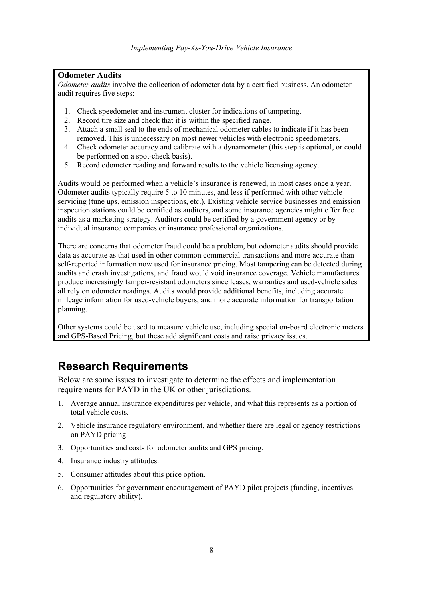## **Odometer Audits**

*Odometer audits* involve the collection of odometer data by a certified business. An odometer audit requires five steps:

- 1. Check speedometer and instrument cluster for indications of tampering.
- 2. Record tire size and check that it is within the specified range.
- 3. Attach a small seal to the ends of mechanical odometer cables to indicate if it has been removed. This is unnecessary on most newer vehicles with electronic speedometers.
- 4. Check odometer accuracy and calibrate with a dynamometer (this step is optional, or could be performed on a spot-check basis).
- 5. Record odometer reading and forward results to the vehicle licensing agency.

Audits would be performed when a vehicle's insurance is renewed, in most cases once a year. Odometer audits typically require 5 to 10 minutes, and less if performed with other vehicle servicing (tune ups, emission inspections, etc.). Existing vehicle service businesses and emission inspection stations could be certified as auditors, and some insurance agencies might offer free audits as a marketing strategy. Auditors could be certified by a government agency or by individual insurance companies or insurance professional organizations.

There are concerns that odometer fraud could be a problem, but odometer audits should provide data as accurate as that used in other common commercial transactions and more accurate than self-reported information now used for insurance pricing. Most tampering can be detected during audits and crash investigations, and fraud would void insurance coverage. Vehicle manufactures produce increasingly tamper-resistant odometers since leases, warranties and used-vehicle sales all rely on odometer readings. Audits would provide additional benefits, including accurate mileage information for used-vehicle buyers, and more accurate information for transportation planning.

Other systems could be used to measure vehicle use, including special on-board electronic meters and GPS-Based Pricing, but these add significant costs and raise privacy issues.

# **Research Requirements**

Below are some issues to investigate to determine the effects and implementation requirements for PAYD in the UK or other jurisdictions.

- 1. Average annual insurance expenditures per vehicle, and what this represents as a portion of total vehicle costs.
- 2. Vehicle insurance regulatory environment, and whether there are legal or agency restrictions on PAYD pricing.
- 3. Opportunities and costs for odometer audits and GPS pricing.
- 4. Insurance industry attitudes.
- 5. Consumer attitudes about this price option.
- 6. Opportunities for government encouragement of PAYD pilot projects (funding, incentives and regulatory ability).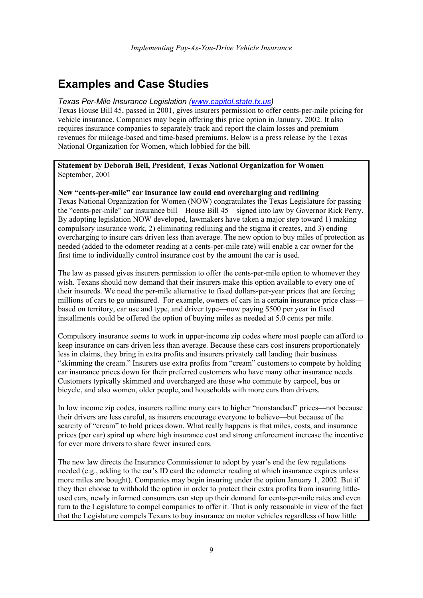# **Examples and Case Studies**

#### *Texas Per-Mile Insurance Legislation (www.capitol.state.tx.us)*

Texas House Bill 45, passed in 2001, gives insurers permission to offer cents-per-mile pricing for vehicle insurance. Companies may begin offering this price option in January, 2002. It also requires insurance companies to separately track and report the claim losses and premium revenues for mileage-based and time-based premiums. Below is a press release by the Texas National Organization for Women, which lobbied for the bill.

### **Statement by Deborah Bell, President, Texas National Organization for Women** September, 2001

#### **New "cents-per-mile" car insurance law could end overcharging and redlining**

Texas National Organization for Women (NOW) congratulates the Texas Legislature for passing the "cents-per-mile" car insurance bill—House Bill 45—signed into law by Governor Rick Perry. By adopting legislation NOW developed, lawmakers have taken a major step toward 1) making compulsory insurance work, 2) eliminating redlining and the stigma it creates, and 3) ending overcharging to insure cars driven less than average. The new option to buy miles of protection as needed (added to the odometer reading at a cents-per-mile rate) will enable a car owner for the first time to individually control insurance cost by the amount the car is used.

The law as passed gives insurers permission to offer the cents-per-mile option to whomever they wish. Texans should now demand that their insurers make this option available to every one of their insureds. We need the per-mile alternative to fixed dollars-per-year prices that are forcing millions of cars to go uninsured. For example, owners of cars in a certain insurance price classbased on territory, car use and type, and driver type—now paying \$500 per year in fixed installments could be offered the option of buying miles as needed at 5.0 cents per mile.

Compulsory insurance seems to work in upper-income zip codes where most people can afford to keep insurance on cars driven less than average. Because these cars cost insurers proportionately less in claims, they bring in extra profits and insurers privately call landing their business "skimming the cream." Insurers use extra profits from "cream" customers to compete by holding car insurance prices down for their preferred customers who have many other insurance needs. Customers typically skimmed and overcharged are those who commute by carpool, bus or bicycle, and also women, older people, and households with more cars than drivers.

In low income zip codes, insurers redline many cars to higher "nonstandard" prices—not because their drivers are less careful, as insurers encourage everyone to believe—but because of the scarcity of "cream" to hold prices down. What really happens is that miles, costs, and insurance prices (per car) spiral up where high insurance cost and strong enforcement increase the incentive for ever more drivers to share fewer insured cars.

The new law directs the Insurance Commissioner to adopt by year's end the few regulations needed (e.g., adding to the car's ID card the odometer reading at which insurance expires unless more miles are bought). Companies may begin insuring under the option January 1, 2002. But if they then choose to withhold the option in order to protect their extra profits from insuring littleused cars, newly informed consumers can step up their demand for cents-per-mile rates and even turn to the Legislature to compel companies to offer it. That is only reasonable in view of the fact that the Legislature compels Texans to buy insurance on motor vehicles regardless of how little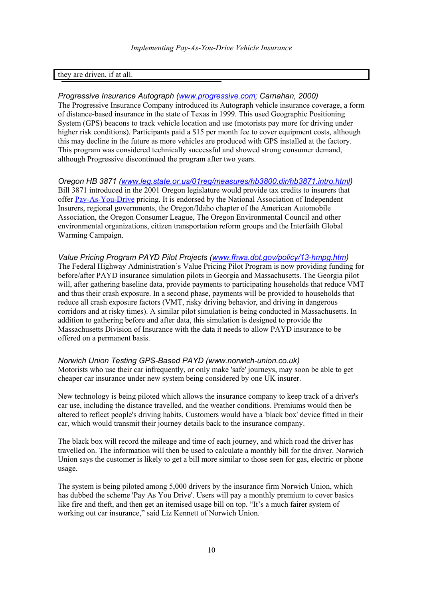## they are driven, if at all.

### *Progressive Insurance Autograph (www.progressive.com; Carnahan, 2000)*

The Progressive Insurance Company introduced its Autograph vehicle insurance coverage, a form of distance-based insurance in the state of Texas in 1999. This used Geographic Positioning System (GPS) beacons to track vehicle location and use (motorists pay more for driving under higher risk conditions). Participants paid a \$15 per month fee to cover equipment costs, although this may decline in the future as more vehicles are produced with GPS installed at the factory. This program was considered technically successful and showed strong consumer demand, although Progressive discontinued the program after two years.

*Oregon HB 3871 (www.leg.state.or.us/01reg/measures/hb3800.dir/hb3871.intro.html)* Bill 3871 introduced in the 2001 Oregon legislature would provide tax credits to insurers that offer Pay-As-You-Drive pricing. It is endorsed by the National Association of Independent Insurers, regional governments, the Oregon/Idaho chapter of the American Automobile Association, the Oregon Consumer League, The Oregon Environmental Council and other environmental organizations, citizen transportation reform groups and the Interfaith Global Warming Campaign.

## *Value Pricing Program PAYD Pilot Projects (www.fhwa.dot.gov/policy/13-hmpg.htm)*

The Federal Highway Administration's Value Pricing Pilot Program is now providing funding for before/after PAYD insurance simulation pilots in Georgia and Massachusetts. The Georgia pilot will, after gathering baseline data, provide payments to participating households that reduce VMT and thus their crash exposure. In a second phase, payments will be provided to households that reduce all crash exposure factors (VMT, risky driving behavior, and driving in dangerous corridors and at risky times). A similar pilot simulation is being conducted in Massachusetts. In addition to gathering before and after data, this simulation is designed to provide the Massachusetts Division of Insurance with the data it needs to allow PAYD insurance to be offered on a permanent basis.

#### *Norwich Union Testing GPS-Based PAYD (www.norwich-union.co.uk)*

Motorists who use their car infrequently, or only make 'safe' journeys, may soon be able to get cheaper car insurance under new system being considered by one UK insurer.

New technology is being piloted which allows the insurance company to keep track of a driver's car use, including the distance travelled, and the weather conditions. Premiums would then be altered to reflect people's driving habits. Customers would have a 'black box' device fitted in their car, which would transmit their journey details back to the insurance company.

The black box will record the mileage and time of each journey, and which road the driver has travelled on. The information will then be used to calculate a monthly bill for the driver. Norwich Union says the customer is likely to get a bill more similar to those seen for gas, electric or phone usage.

The system is being piloted among 5,000 drivers by the insurance firm Norwich Union, which has dubbed the scheme 'Pay As You Drive'. Users will pay a monthly premium to cover basics like fire and theft, and then get an itemised usage bill on top. "It's a much fairer system of working out car insurance," said Liz Kennett of Norwich Union.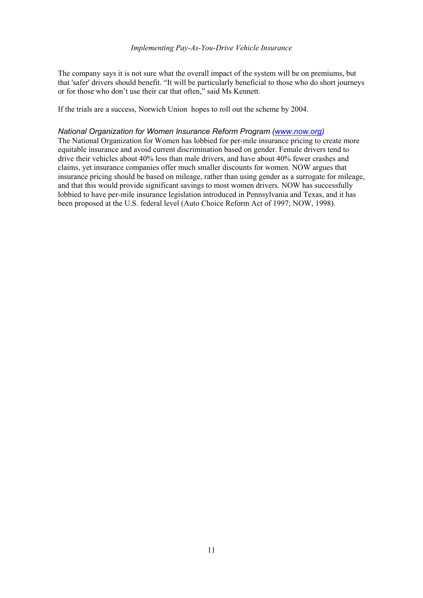#### *Implementing Pay-As-You-Drive Vehicle Insurance*

The company says it is not sure what the overall impact of the system will be on premiums, but that 'safer' drivers should benefit. "It will be particularly beneficial to those who do short journeys or for those who don't use their car that often," said Ms Kennett.

If the trials are a success, Norwich Union hopes to roll out the scheme by 2004.

### *National Organization for Women Insurance Reform Program (www.now.org)*

The National Organization for Women has lobbied for per-mile insurance pricing to create more equitable insurance and avoid current discrimination based on gender. Female drivers tend to drive their vehicles about 40% less than male drivers, and have about 40% fewer crashes and claims, yet insurance companies offer much smaller discounts for women. NOW argues that insurance pricing should be based on mileage, rather than using gender as a surrogate for mileage, and that this would provide significant savings to most women drivers. NOW has successfully lobbied to have per-mile insurance legislation introduced in Pennsylvania and Texas, and it has been proposed at the U.S. federal level (Auto Choice Reform Act of 1997; NOW, 1998).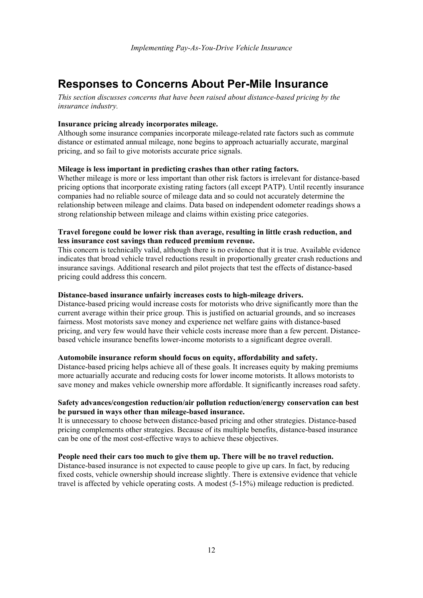## **Responses to Concerns About Per-Mile Insurance**

*This section discusses concerns that have been raised about distance-based pricing by the insurance industry.*

### **Insurance pricing already incorporates mileage.**

Although some insurance companies incorporate mileage-related rate factors such as commute distance or estimated annual mileage, none begins to approach actuarially accurate, marginal pricing, and so fail to give motorists accurate price signals.

#### **Mileage is less important in predicting crashes than other rating factors.**

Whether mileage is more or less important than other risk factors is irrelevant for distance-based pricing options that incorporate existing rating factors (all except PATP). Until recently insurance companies had no reliable source of mileage data and so could not accurately determine the relationship between mileage and claims. Data based on independent odometer readings shows a strong relationship between mileage and claims within existing price categories.

### **Travel foregone could be lower risk than average, resulting in little crash reduction, and less insurance cost savings than reduced premium revenue.**

This concern is technically valid, although there is no evidence that it is true. Available evidence indicates that broad vehicle travel reductions result in proportionally greater crash reductions and insurance savings. Additional research and pilot projects that test the effects of distance-based pricing could address this concern.

#### **Distance-based insurance unfairly increases costs to high-mileage drivers.**

Distance-based pricing would increase costs for motorists who drive significantly more than the current average within their price group. This is justified on actuarial grounds, and so increases fairness. Most motorists save money and experience net welfare gains with distance-based pricing, and very few would have their vehicle costs increase more than a few percent. Distancebased vehicle insurance benefits lower-income motorists to a significant degree overall.

#### **Automobile insurance reform should focus on equity, affordability and safety.**

Distance-based pricing helps achieve all of these goals. It increases equity by making premiums more actuarially accurate and reducing costs for lower income motorists. It allows motorists to save money and makes vehicle ownership more affordable. It significantly increases road safety.

#### **Safety advances/congestion reduction/air pollution reduction/energy conservation can best be pursued in ways other than mileage-based insurance.**

It is unnecessary to choose between distance-based pricing and other strategies. Distance-based pricing complements other strategies. Because of its multiple benefits, distance-based insurance can be one of the most cost-effective ways to achieve these objectives.

#### **People need their cars too much to give them up. There will be no travel reduction.**

Distance-based insurance is not expected to cause people to give up cars. In fact, by reducing fixed costs, vehicle ownership should increase slightly. There is extensive evidence that vehicle travel is affected by vehicle operating costs. A modest (5-15%) mileage reduction is predicted.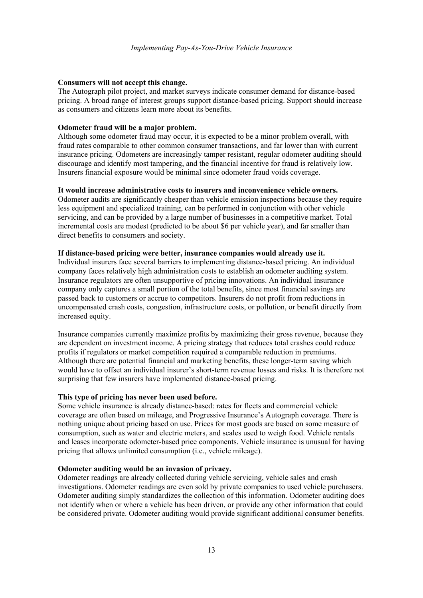#### **Consumers will not accept this change.**

The Autograph pilot project, and market surveys indicate consumer demand for distance-based pricing. A broad range of interest groups support distance-based pricing. Support should increase as consumers and citizens learn more about its benefits.

#### **Odometer fraud will be a major problem.**

Although some odometer fraud may occur, it is expected to be a minor problem overall, with fraud rates comparable to other common consumer transactions, and far lower than with current insurance pricing. Odometers are increasingly tamper resistant, regular odometer auditing should discourage and identify most tampering, and the financial incentive for fraud is relatively low. Insurers financial exposure would be minimal since odometer fraud voids coverage.

#### **It would increase administrative costs to insurers and inconvenience vehicle owners.**

Odometer audits are significantly cheaper than vehicle emission inspections because they require less equipment and specialized training, can be performed in conjunction with other vehicle servicing, and can be provided by a large number of businesses in a competitive market. Total incremental costs are modest (predicted to be about \$6 per vehicle year), and far smaller than direct benefits to consumers and society.

#### **If distance-based pricing were better, insurance companies would already use it.**

Individual insurers face several barriers to implementing distance-based pricing. An individual company faces relatively high administration costs to establish an odometer auditing system. Insurance regulators are often unsupportive of pricing innovations. An individual insurance company only captures a small portion of the total benefits, since most financial savings are passed back to customers or accrue to competitors. Insurers do not profit from reductions in uncompensated crash costs, congestion, infrastructure costs, or pollution, or benefit directly from increased equity.

Insurance companies currently maximize profits by maximizing their gross revenue, because they are dependent on investment income. A pricing strategy that reduces total crashes could reduce profits if regulators or market competition required a comparable reduction in premiums. Although there are potential financial and marketing benefits, these longer-term saving which would have to offset an individual insurer's short-term revenue losses and risks. It is therefore not surprising that few insurers have implemented distance-based pricing.

#### **This type of pricing has never been used before.**

Some vehicle insurance is already distance-based: rates for fleets and commercial vehicle coverage are often based on mileage, and Progressive Insurance's Autograph coverage. There is nothing unique about pricing based on use. Prices for most goods are based on some measure of consumption, such as water and electric meters, and scales used to weigh food. Vehicle rentals and leases incorporate odometer-based price components. Vehicle insurance is unusual for having pricing that allows unlimited consumption (i.e., vehicle mileage).

#### **Odometer auditing would be an invasion of privacy.**

Odometer readings are already collected during vehicle servicing, vehicle sales and crash investigations. Odometer readings are even sold by private companies to used vehicle purchasers. Odometer auditing simply standardizes the collection of this information. Odometer auditing does not identify when or where a vehicle has been driven, or provide any other information that could be considered private. Odometer auditing would provide significant additional consumer benefits.